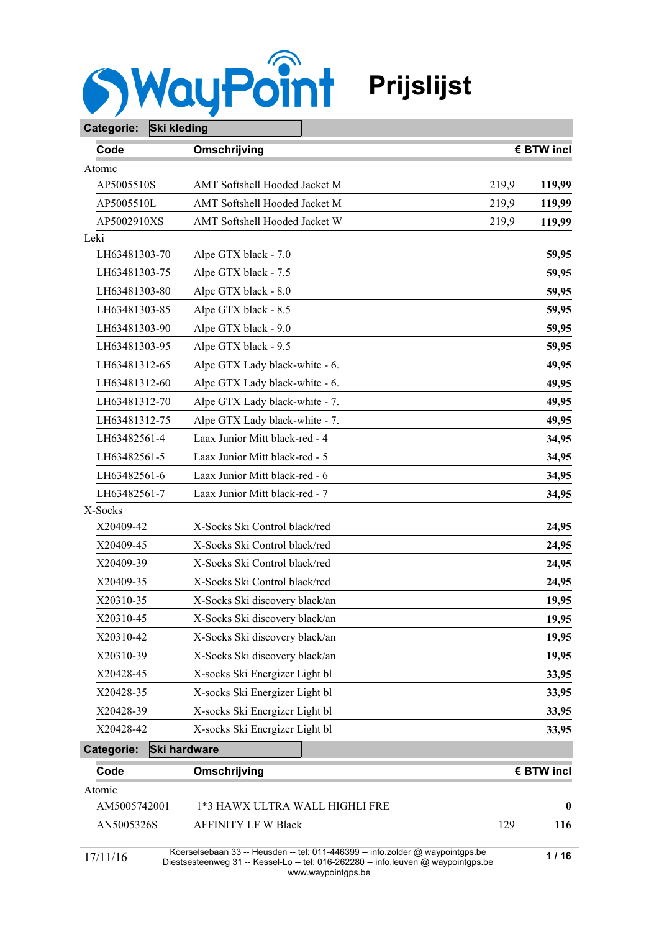

| Categorie:    | <b>Ski kleding</b> |                                |                   |       |            |
|---------------|--------------------|--------------------------------|-------------------|-------|------------|
| Code          |                    | Omschrijving                   |                   |       | € BTW incl |
| Atomic        |                    |                                |                   |       |            |
| AP5005510S    |                    | AMT Softshell Hooded Jacket M  |                   | 219,9 | 119,99     |
| AP5005510L    |                    | AMT Softshell Hooded Jacket M  |                   | 219,9 | 119,99     |
| AP5002910XS   |                    | AMT Softshell Hooded Jacket W  |                   | 219,9 | 119,99     |
| Leki          |                    |                                |                   |       |            |
| LH63481303-70 |                    | Alpe GTX black - 7.0           |                   |       | 59,95      |
| LH63481303-75 |                    | Alpe GTX black - 7.5           |                   |       | 59,95      |
| LH63481303-80 |                    | Alpe GTX black - 8.0           |                   |       | 59,95      |
| LH63481303-85 |                    | Alpe GTX black - 8.5           |                   |       | 59,95      |
| LH63481303-90 |                    | Alpe GTX black - 9.0           |                   |       | 59,95      |
| LH63481303-95 |                    | Alpe GTX black - 9.5           |                   |       | 59,95      |
| LH63481312-65 |                    | Alpe GTX Lady black-white - 6. |                   |       | 49,95      |
| LH63481312-60 |                    | Alpe GTX Lady black-white - 6. |                   |       | 49,95      |
| LH63481312-70 |                    | Alpe GTX Lady black-white - 7. |                   |       | 49,95      |
| LH63481312-75 |                    | Alpe GTX Lady black-white - 7. |                   |       | 49,95      |
| LH63482561-4  |                    | Laax Junior Mitt black-red - 4 |                   |       | 34,95      |
| LH63482561-5  |                    | Laax Junior Mitt black-red - 5 |                   |       | 34,95      |
| LH63482561-6  |                    | Laax Junior Mitt black-red - 6 |                   |       | 34,95      |
| LH63482561-7  |                    | Laax Junior Mitt black-red - 7 |                   |       | 34,95      |
| X-Socks       |                    |                                |                   |       |            |
| X20409-42     |                    | X-Socks Ski Control black/red  |                   |       | 24,95      |
| X20409-45     |                    | X-Socks Ski Control black/red  |                   |       | 24,95      |
| X20409-39     |                    | X-Socks Ski Control black/red  |                   |       | 24,95      |
| X20409-35     |                    | X-Socks Ski Control black/red  |                   |       | 24,95      |
| X20310-35     |                    | X-Socks Ski discovery black/an |                   |       | 19,95      |
| X20310-45     |                    | X-Socks Ski discovery black/an |                   |       | 19,95      |
| X20310-42     |                    | X-Socks Ski discovery black/an |                   |       | 19,95      |
| X20310-39     |                    | X-Socks Ski discovery black/an |                   |       | 19,95      |
| X20428-45     |                    | X-socks Ski Energizer Light bl |                   |       | 33,95      |
| X20428-35     |                    | X-socks Ski Energizer Light bl |                   |       | 33,95      |
| X20428-39     |                    | X-socks Ski Energizer Light bl |                   |       | 33,95      |
| X20428-42     |                    | X-socks Ski Energizer Light bl |                   |       | 33,95      |
| Categorie:    |                    | Ski hardware                   |                   |       |            |
| Code          |                    | Omschrijving                   |                   |       | € BTW incl |
| Atomic        |                    |                                |                   |       |            |
| AM5005742001  |                    | 1*3 HAWX ULTRA WALL HIGHLI FRE |                   |       | $\bf{0}$   |
| AN5005326S    |                    | <b>AFFINITY LF W Black</b>     |                   | 129   | 116        |
|               |                    |                                | $+$ -1.011.446200 |       |            |

Koerselsebaan 33 -- Heusden -- tel: 011-446399 -- info.zolder @ waypointgps.be Diestsesteenweg 31 -- Kessel-Lo -- tel: 016-262280 -- info.leuven @ waypointgps.be 17/11/16 **1 / 16**www.waypointgps.be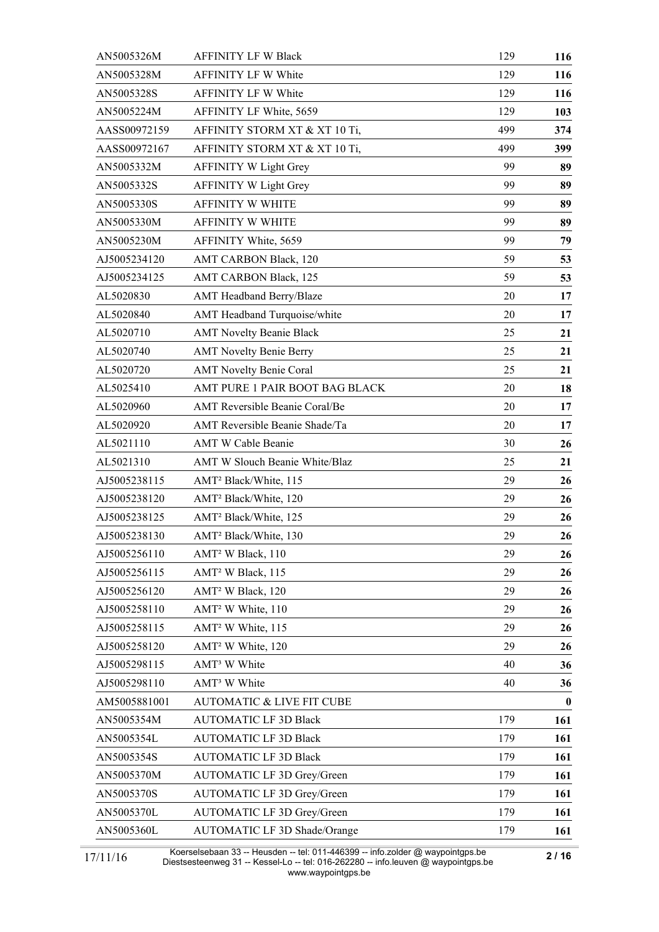| AN5005326M   | <b>AFFINITY LF W Black</b>           | 129 | 116      |
|--------------|--------------------------------------|-----|----------|
| AN5005328M   | AFFINITY LF W White                  | 129 | 116      |
| AN5005328S   | AFFINITY LF W White                  | 129 | 116      |
| AN5005224M   | AFFINITY LF White, 5659              | 129 | 103      |
| AASS00972159 | AFFINITY STORM XT & XT 10 Ti,        | 499 | 374      |
| AASS00972167 | AFFINITY STORM XT & XT 10 Ti,        | 499 | 399      |
| AN5005332M   | <b>AFFINITY W Light Grey</b>         | 99  | 89       |
| AN5005332S   | <b>AFFINITY W Light Grey</b>         | 99  | 89       |
| AN5005330S   | <b>AFFINITY W WHITE</b>              | 99  | 89       |
| AN5005330M   | AFFINITY W WHITE                     | 99  | 89       |
| AN5005230M   | AFFINITY White, 5659                 | 99  | 79       |
| AJ5005234120 | AMT CARBON Black, 120                | 59  | 53       |
| AJ5005234125 | AMT CARBON Black, 125                | 59  | 53       |
| AL5020830    | AMT Headband Berry/Blaze             | 20  | 17       |
| AL5020840    | AMT Headband Turquoise/white         | 20  | 17       |
| AL5020710    | <b>AMT Novelty Beanie Black</b>      | 25  | 21       |
| AL5020740    | <b>AMT Novelty Benie Berry</b>       | 25  | 21       |
| AL5020720    | <b>AMT Novelty Benie Coral</b>       | 25  | 21       |
| AL5025410    | AMT PURE 1 PAIR BOOT BAG BLACK       | 20  | 18       |
| AL5020960    | AMT Reversible Beanie Coral/Be       | 20  | 17       |
| AL5020920    | AMT Reversible Beanie Shade/Ta       | 20  | 17       |
| AL5021110    | <b>AMT W Cable Beanie</b>            | 30  | 26       |
| AL5021310    | AMT W Slouch Beanie White/Blaz       | 25  | 21       |
| AJ5005238115 | AMT <sup>2</sup> Black/White, 115    | 29  | 26       |
| AJ5005238120 | AMT <sup>2</sup> Black/White, 120    | 29  | 26       |
| AJ5005238125 | AMT <sup>2</sup> Black/White, 125    | 29  | 26       |
| AJ5005238130 | AMT <sup>2</sup> Black/White, 130    | 29  | 26       |
| AJ5005256110 | AMT <sup>2</sup> W Black, 110        | 29  | 26       |
| AJ5005256115 | AMT <sup>2</sup> W Black, 115        | 29  | 26       |
| AJ5005256120 | AMT <sup>2</sup> W Black, 120        | 29  | 26       |
| AJ5005258110 | AMT <sup>2</sup> W White, 110        | 29  | 26       |
| AJ5005258115 | AMT <sup>2</sup> W White, 115        | 29  | 26       |
| AJ5005258120 | AMT <sup>2</sup> W White, 120        | 29  | 26       |
| AJ5005298115 | AMT <sup>3</sup> W White             | 40  | 36       |
| AJ5005298110 | AMT <sup>3</sup> W White             | 40  | 36       |
| AM5005881001 | <b>AUTOMATIC &amp; LIVE FIT CUBE</b> |     | $\bf{0}$ |
| AN5005354M   | <b>AUTOMATIC LF 3D Black</b>         | 179 | 161      |
| AN5005354L   | <b>AUTOMATIC LF 3D Black</b>         | 179 | 161      |
| AN5005354S   | <b>AUTOMATIC LF 3D Black</b>         | 179 | 161      |
| AN5005370M   | <b>AUTOMATIC LF 3D Grey/Green</b>    | 179 | 161      |
| AN5005370S   | <b>AUTOMATIC LF 3D Grey/Green</b>    | 179 | 161      |
| AN5005370L   | <b>AUTOMATIC LF 3D Grey/Green</b>    | 179 | 161      |
| AN5005360L   | AUTOMATIC LF 3D Shade/Orange         | 179 | 161      |
|              |                                      |     |          |

Koerselsebaan 33 -- Heusden -- tel: 011-446399 -- info.zolder @ waypointgps.be Diestsesteenweg 31 -- Kessel-Lo -- tel: 016-262280 -- info.leuven @ waypointgps.be www.waypointgps.be 17/11/16 **2 / 16**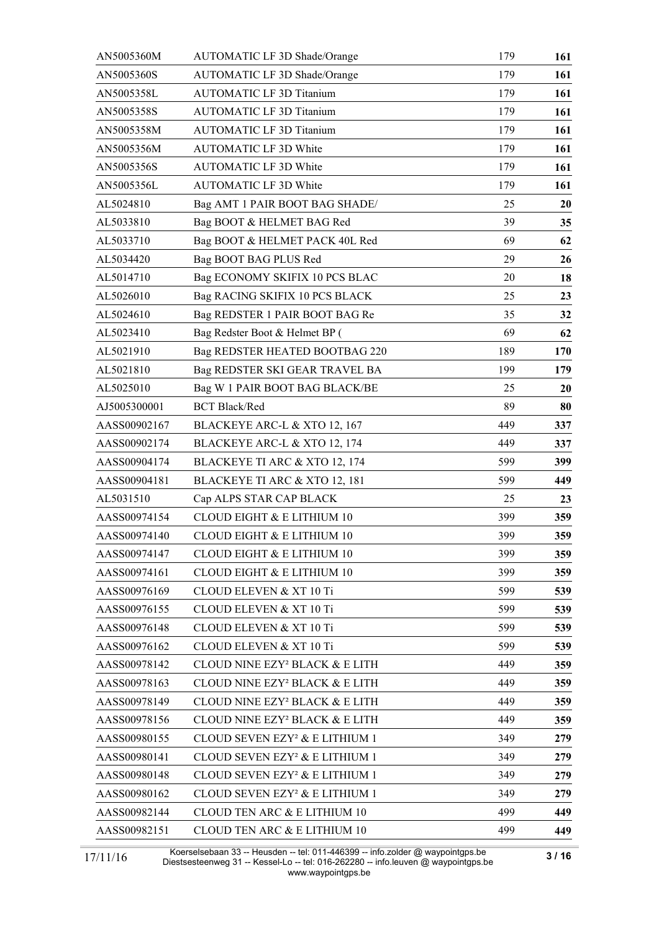| AN5005360M   | <b>AUTOMATIC LF 3D Shade/Orange</b>        | 179 | 161 |
|--------------|--------------------------------------------|-----|-----|
| AN5005360S   | AUTOMATIC LF 3D Shade/Orange               | 179 | 161 |
| AN5005358L   | <b>AUTOMATIC LF 3D Titanium</b>            | 179 | 161 |
| AN5005358S   | <b>AUTOMATIC LF 3D Titanium</b>            | 179 | 161 |
| AN5005358M   | <b>AUTOMATIC LF 3D Titanium</b>            | 179 | 161 |
| AN5005356M   | <b>AUTOMATIC LF 3D White</b>               | 179 | 161 |
| AN5005356S   | <b>AUTOMATIC LF 3D White</b>               | 179 | 161 |
| AN5005356L   | <b>AUTOMATIC LF 3D White</b>               | 179 | 161 |
| AL5024810    | Bag AMT 1 PAIR BOOT BAG SHADE/             | 25  | 20  |
| AL5033810    | Bag BOOT & HELMET BAG Red                  | 39  | 35  |
| AL5033710    | Bag BOOT & HELMET PACK 40L Red             | 69  | 62  |
| AL5034420    | Bag BOOT BAG PLUS Red                      | 29  | 26  |
| AL5014710    | Bag ECONOMY SKIFIX 10 PCS BLAC             | 20  | 18  |
| AL5026010    | Bag RACING SKIFIX 10 PCS BLACK             | 25  | 23  |
| AL5024610    | Bag REDSTER 1 PAIR BOOT BAG Re             | 35  | 32  |
| AL5023410    | Bag Redster Boot & Helmet BP (             | 69  | 62  |
| AL5021910    | Bag REDSTER HEATED BOOTBAG 220             | 189 | 170 |
| AL5021810    | Bag REDSTER SKI GEAR TRAVEL BA             | 199 | 179 |
| AL5025010    | Bag W 1 PAIR BOOT BAG BLACK/BE             | 25  | 20  |
| AJ5005300001 | <b>BCT Black/Red</b>                       | 89  | 80  |
| AASS00902167 | BLACKEYE ARC-L & XTO 12, 167               | 449 | 337 |
| AASS00902174 | BLACKEYE ARC-L & XTO 12, 174               | 449 | 337 |
| AASS00904174 | BLACKEYE TI ARC & XTO 12, 174              | 599 | 399 |
| AASS00904181 | BLACKEYE TI ARC & XTO 12, 181              | 599 | 449 |
| AL5031510    | Cap ALPS STAR CAP BLACK                    | 25  | 23  |
| AASS00974154 | <b>CLOUD EIGHT &amp; E LITHIUM 10</b>      | 399 | 359 |
| AASS00974140 | CLOUD EIGHT & E LITHIUM 10                 | 399 | 359 |
| AASS00974147 | CLOUD EIGHT & E LITHIUM 10                 | 399 | 359 |
| AASS00974161 | <b>CLOUD EIGHT &amp; E LITHIUM 10</b>      | 399 | 359 |
| AASS00976169 | CLOUD ELEVEN & XT 10 Ti                    | 599 | 539 |
| AASS00976155 | <b>CLOUD ELEVEN &amp; XT 10 Ti</b>         | 599 | 539 |
| AASS00976148 | <b>CLOUD ELEVEN &amp; XT 10 Ti</b>         | 599 | 539 |
| AASS00976162 | <b>CLOUD ELEVEN &amp; XT 10 Ti</b>         | 599 | 539 |
| AASS00978142 | CLOUD NINE EZY <sup>2</sup> BLACK & E LITH | 449 | 359 |
| AASS00978163 | CLOUD NINE EZY <sup>2</sup> BLACK & E LITH | 449 | 359 |
| AASS00978149 | CLOUD NINE EZY <sup>2</sup> BLACK & E LITH | 449 | 359 |
| AASS00978156 | CLOUD NINE EZY <sup>2</sup> BLACK & E LITH | 449 | 359 |
| AASS00980155 | CLOUD SEVEN EZY <sup>2</sup> & E LITHIUM 1 | 349 | 279 |
| AASS00980141 | CLOUD SEVEN EZY <sup>2</sup> & E LITHIUM 1 | 349 | 279 |
| AASS00980148 | CLOUD SEVEN EZY <sup>2</sup> & E LITHIUM 1 | 349 | 279 |
| AASS00980162 | CLOUD SEVEN EZY <sup>2</sup> & E LITHIUM 1 | 349 | 279 |
| AASS00982144 | CLOUD TEN ARC & E LITHIUM 10               | 499 | 449 |
| AASS00982151 | CLOUD TEN ARC & E LITHIUM 10               | 499 | 449 |

Koerselsebaan 33 -- Heusden -- tel: 011-446399 -- info.zolder @ waypointgps.be Diestsesteenweg 31 -- Kessel-Lo -- tel: 016-262280 -- info.leuven @ waypointgps.be www.waypointgps.be 17/11/16 **3 / 16**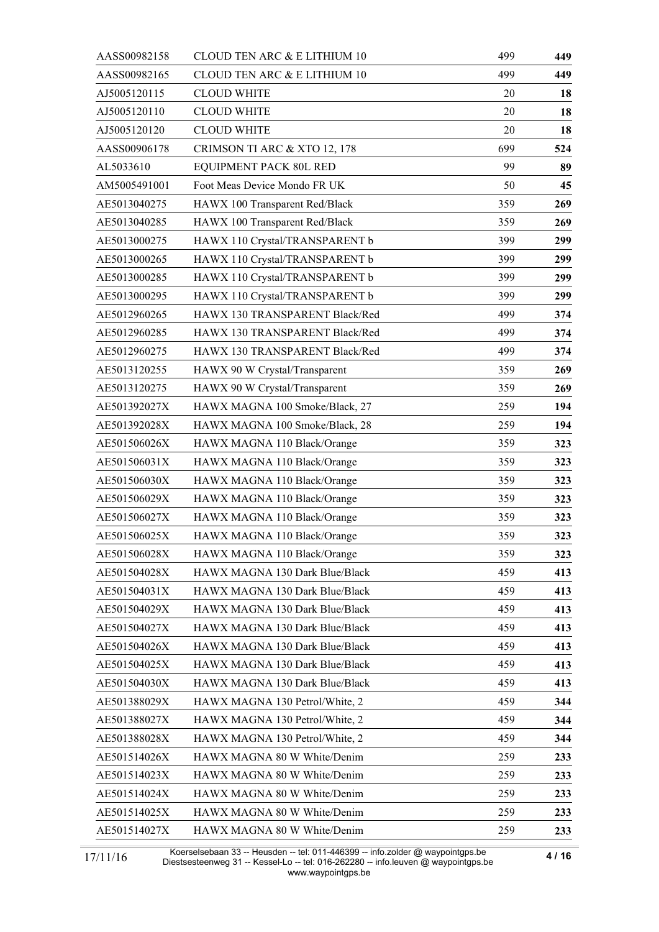| AASS00982158 | CLOUD TEN ARC & E LITHIUM 10   | 499 | 449 |
|--------------|--------------------------------|-----|-----|
| AASS00982165 | CLOUD TEN ARC & E LITHIUM 10   | 499 | 449 |
| AJ5005120115 | <b>CLOUD WHITE</b>             | 20  | 18  |
| AJ5005120110 | <b>CLOUD WHITE</b>             | 20  | 18  |
| AJ5005120120 | <b>CLOUD WHITE</b>             | 20  | 18  |
| AASS00906178 | CRIMSON TI ARC & XTO 12, 178   | 699 | 524 |
| AL5033610    | EQUIPMENT PACK 80L RED         | 99  | 89  |
| AM5005491001 | Foot Meas Device Mondo FR UK   | 50  | 45  |
| AE5013040275 | HAWX 100 Transparent Red/Black | 359 | 269 |
| AE5013040285 | HAWX 100 Transparent Red/Black | 359 | 269 |
| AE5013000275 | HAWX 110 Crystal/TRANSPARENT b | 399 | 299 |
| AE5013000265 | HAWX 110 Crystal/TRANSPARENT b | 399 | 299 |
| AE5013000285 | HAWX 110 Crystal/TRANSPARENT b | 399 | 299 |
| AE5013000295 | HAWX 110 Crystal/TRANSPARENT b | 399 | 299 |
| AE5012960265 | HAWX 130 TRANSPARENT Black/Red | 499 | 374 |
| AE5012960285 | HAWX 130 TRANSPARENT Black/Red | 499 | 374 |
| AE5012960275 | HAWX 130 TRANSPARENT Black/Red | 499 | 374 |
| AE5013120255 | HAWX 90 W Crystal/Transparent  | 359 | 269 |
| AE5013120275 | HAWX 90 W Crystal/Transparent  | 359 | 269 |
| AE501392027X | HAWX MAGNA 100 Smoke/Black, 27 | 259 | 194 |
| AE501392028X | HAWX MAGNA 100 Smoke/Black, 28 | 259 | 194 |
| AE501506026X | HAWX MAGNA 110 Black/Orange    | 359 | 323 |
| AE501506031X | HAWX MAGNA 110 Black/Orange    | 359 | 323 |
| AE501506030X | HAWX MAGNA 110 Black/Orange    | 359 | 323 |
| AE501506029X | HAWX MAGNA 110 Black/Orange    | 359 | 323 |
| AE501506027X | HAWX MAGNA 110 Black/Orange    | 359 | 323 |
| AE501506025X | HAWX MAGNA 110 Black/Orange    | 359 | 323 |
| AE501506028X | HAWX MAGNA 110 Black/Orange    | 359 | 323 |
| AE501504028X | HAWX MAGNA 130 Dark Blue/Black | 459 | 413 |
| AE501504031X | HAWX MAGNA 130 Dark Blue/Black | 459 | 413 |
| AE501504029X | HAWX MAGNA 130 Dark Blue/Black | 459 | 413 |
| AE501504027X | HAWX MAGNA 130 Dark Blue/Black | 459 | 413 |
| AE501504026X | HAWX MAGNA 130 Dark Blue/Black | 459 | 413 |
| AE501504025X | HAWX MAGNA 130 Dark Blue/Black | 459 | 413 |
| AE501504030X | HAWX MAGNA 130 Dark Blue/Black | 459 | 413 |
| AE501388029X | HAWX MAGNA 130 Petrol/White, 2 | 459 | 344 |
| AE501388027X | HAWX MAGNA 130 Petrol/White, 2 | 459 | 344 |
| AE501388028X | HAWX MAGNA 130 Petrol/White, 2 | 459 | 344 |
| AE501514026X | HAWX MAGNA 80 W White/Denim    | 259 | 233 |
| AE501514023X | HAWX MAGNA 80 W White/Denim    | 259 | 233 |
| AE501514024X | HAWX MAGNA 80 W White/Denim    | 259 | 233 |
| AE501514025X | HAWX MAGNA 80 W White/Denim    | 259 | 233 |
| AE501514027X | HAWX MAGNA 80 W White/Denim    | 259 | 233 |

Koerselsebaan 33 -- Heusden -- tel: 011-446399 -- info.zolder @ waypointgps.be Diestsesteenweg 31 -- Kessel-Lo -- tel: 016-262280 -- info.leuven @ waypointgps.be www.waypointgps.be 17/11/16 **4 / 16**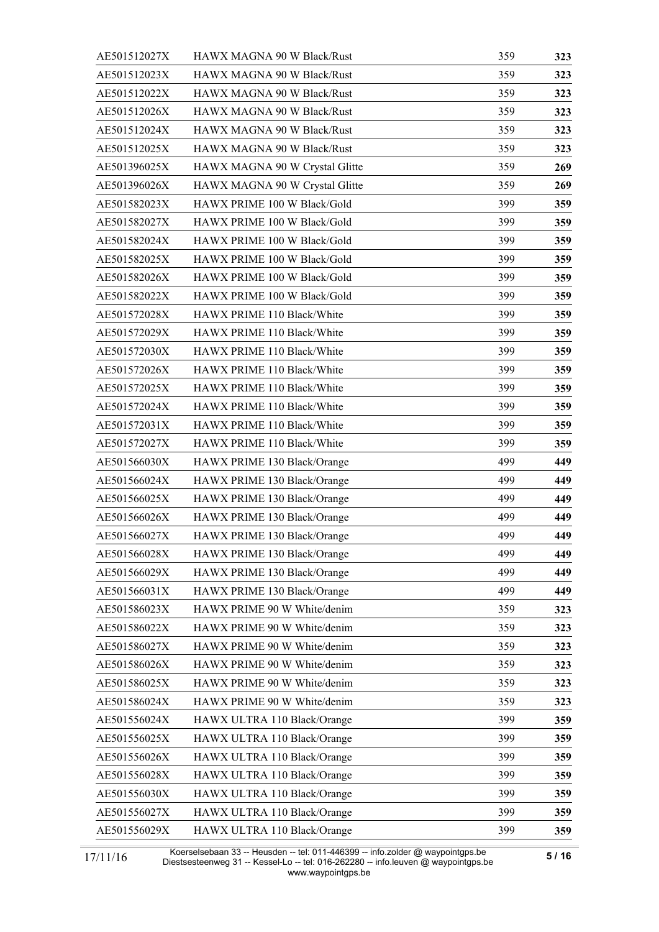| AE501512027X | HAWX MAGNA 90 W Black/Rust     | 359 | 323 |
|--------------|--------------------------------|-----|-----|
| AE501512023X | HAWX MAGNA 90 W Black/Rust     | 359 | 323 |
| AE501512022X | HAWX MAGNA 90 W Black/Rust     | 359 | 323 |
| AE501512026X | HAWX MAGNA 90 W Black/Rust     | 359 | 323 |
| AE501512024X | HAWX MAGNA 90 W Black/Rust     | 359 | 323 |
| AE501512025X | HAWX MAGNA 90 W Black/Rust     | 359 | 323 |
| AE501396025X | HAWX MAGNA 90 W Crystal Glitte | 359 | 269 |
| AE501396026X | HAWX MAGNA 90 W Crystal Glitte | 359 | 269 |
| AE501582023X | HAWX PRIME 100 W Black/Gold    | 399 | 359 |
| AE501582027X | HAWX PRIME 100 W Black/Gold    | 399 | 359 |
| AE501582024X | HAWX PRIME 100 W Black/Gold    | 399 | 359 |
| AE501582025X | HAWX PRIME 100 W Black/Gold    | 399 | 359 |
| AE501582026X | HAWX PRIME 100 W Black/Gold    | 399 | 359 |
| AE501582022X | HAWX PRIME 100 W Black/Gold    | 399 | 359 |
| AE501572028X | HAWX PRIME 110 Black/White     | 399 | 359 |
| AE501572029X | HAWX PRIME 110 Black/White     | 399 | 359 |
| AE501572030X | HAWX PRIME 110 Black/White     | 399 | 359 |
| AE501572026X | HAWX PRIME 110 Black/White     | 399 | 359 |
| AE501572025X | HAWX PRIME 110 Black/White     | 399 | 359 |
| AE501572024X | HAWX PRIME 110 Black/White     | 399 | 359 |
| AE501572031X | HAWX PRIME 110 Black/White     | 399 | 359 |
| AE501572027X | HAWX PRIME 110 Black/White     | 399 | 359 |
| AE501566030X | HAWX PRIME 130 Black/Orange    | 499 | 449 |
| AE501566024X | HAWX PRIME 130 Black/Orange    | 499 | 449 |
| AE501566025X | HAWX PRIME 130 Black/Orange    | 499 | 449 |
| AE501566026X | HAWX PRIME 130 Black/Orange    | 499 | 449 |
| AE501566027X | HAWX PRIME 130 Black/Orange    | 499 | 449 |
| AE501566028X | HAWX PRIME 130 Black/Orange    | 499 | 449 |
| AE501566029X | HAWX PRIME 130 Black/Orange    | 499 | 449 |
| AE501566031X | HAWX PRIME 130 Black/Orange    | 499 | 449 |
| AE501586023X | HAWX PRIME 90 W White/denim    | 359 | 323 |
| AE501586022X | HAWX PRIME 90 W White/denim    | 359 | 323 |
| AE501586027X | HAWX PRIME 90 W White/denim    | 359 | 323 |
| AE501586026X | HAWX PRIME 90 W White/denim    | 359 | 323 |
| AE501586025X | HAWX PRIME 90 W White/denim    | 359 | 323 |
| AE501586024X | HAWX PRIME 90 W White/denim    | 359 | 323 |
| AE501556024X | HAWX ULTRA 110 Black/Orange    | 399 | 359 |
| AE501556025X | HAWX ULTRA 110 Black/Orange    | 399 | 359 |
| AE501556026X | HAWX ULTRA 110 Black/Orange    | 399 | 359 |
| AE501556028X | HAWX ULTRA 110 Black/Orange    | 399 | 359 |
| AE501556030X | HAWX ULTRA 110 Black/Orange    | 399 | 359 |
| AE501556027X | HAWX ULTRA 110 Black/Orange    | 399 | 359 |
| AE501556029X | HAWX ULTRA 110 Black/Orange    | 399 | 359 |
|              |                                |     |     |

Koerselsebaan 33 -- Heusden -- tel: 011-446399 -- info.zolder @ waypointgps.be Diestsesteenweg 31 -- Kessel-Lo -- tel: 016-262280 -- info.leuven @ waypointgps.be www.waypointgps.be 17/11/16 **1898 1898 - 1898 - 1898 - 1898 - 1898 - 1899** - 1898 - 1898 - 1898 - 1898 - 1898 - 1898 - 1898 - 18<br>17/11/16 Diestsesteenwer 31 - Kessel-Lo - tel: 016-262280 - info leuven @ waypointrins be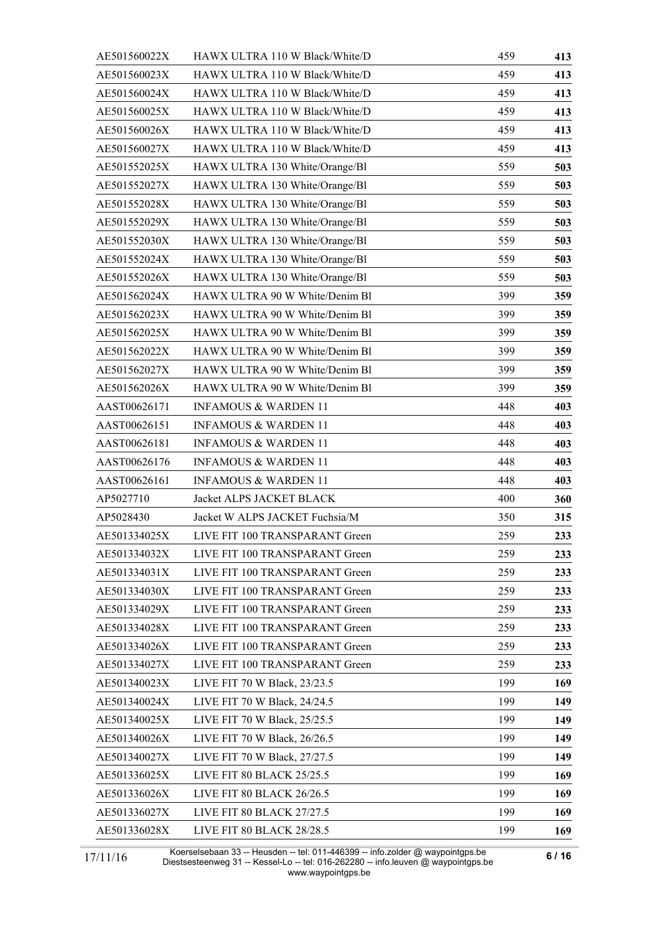| AE501560022X | HAWX ULTRA 110 W Black/White/D  | 459 | 413 |
|--------------|---------------------------------|-----|-----|
| AE501560023X | HAWX ULTRA 110 W Black/White/D  | 459 | 413 |
| AE501560024X | HAWX ULTRA 110 W Black/White/D  | 459 | 413 |
| AE501560025X | HAWX ULTRA 110 W Black/White/D  | 459 | 413 |
| AE501560026X | HAWX ULTRA 110 W Black/White/D  | 459 | 413 |
| AE501560027X | HAWX ULTRA 110 W Black/White/D  | 459 | 413 |
| AE501552025X | HAWX ULTRA 130 White/Orange/Bl  | 559 | 503 |
| AE501552027X | HAWX ULTRA 130 White/Orange/Bl  | 559 | 503 |
| AE501552028X | HAWX ULTRA 130 White/Orange/Bl  | 559 | 503 |
| AE501552029X | HAWX ULTRA 130 White/Orange/Bl  | 559 | 503 |
| AE501552030X | HAWX ULTRA 130 White/Orange/Bl  | 559 | 503 |
| AE501552024X | HAWX ULTRA 130 White/Orange/Bl  | 559 | 503 |
| AE501552026X | HAWX ULTRA 130 White/Orange/Bl  | 559 | 503 |
| AE501562024X | HAWX ULTRA 90 W White/Denim Bl  | 399 | 359 |
| AE501562023X | HAWX ULTRA 90 W White/Denim Bl  | 399 | 359 |
| AE501562025X | HAWX ULTRA 90 W White/Denim Bl  | 399 | 359 |
| AE501562022X | HAWX ULTRA 90 W White/Denim Bl  | 399 | 359 |
| AE501562027X | HAWX ULTRA 90 W White/Denim Bl  | 399 | 359 |
| AE501562026X | HAWX ULTRA 90 W White/Denim Bl  | 399 | 359 |
| AAST00626171 | <b>INFAMOUS &amp; WARDEN 11</b> | 448 | 403 |
| AAST00626151 | <b>INFAMOUS &amp; WARDEN 11</b> | 448 | 403 |
| AAST00626181 | <b>INFAMOUS &amp; WARDEN 11</b> | 448 | 403 |
| AAST00626176 | <b>INFAMOUS &amp; WARDEN 11</b> | 448 | 403 |
| AAST00626161 | <b>INFAMOUS &amp; WARDEN 11</b> | 448 | 403 |
| AP5027710    | Jacket ALPS JACKET BLACK        | 400 | 360 |
| AP5028430    | Jacket W ALPS JACKET Fuchsia/M  | 350 | 315 |
| AE501334025X | LIVE FIT 100 TRANSPARANT Green  | 259 | 233 |
| AE501334032X | LIVE FIT 100 TRANSPARANT Green  | 259 | 233 |
| AE501334031X | LIVE FIT 100 TRANSPARANT Green  | 259 | 233 |
| AE501334030X | LIVE FIT 100 TRANSPARANT Green  | 259 | 233 |
| AE501334029X | LIVE FIT 100 TRANSPARANT Green  | 259 | 233 |
| AE501334028X | LIVE FIT 100 TRANSPARANT Green  | 259 | 233 |
| AE501334026X | LIVE FIT 100 TRANSPARANT Green  | 259 | 233 |
| AE501334027X | LIVE FIT 100 TRANSPARANT Green  | 259 | 233 |
| AE501340023X | LIVE FIT 70 W Black, 23/23.5    | 199 | 169 |
| AE501340024X | LIVE FIT 70 W Black, 24/24.5    | 199 | 149 |
| AE501340025X | LIVE FIT 70 W Black, 25/25.5    | 199 | 149 |
| AE501340026X | LIVE FIT 70 W Black, 26/26.5    | 199 | 149 |
| AE501340027X | LIVE FIT 70 W Black, 27/27.5    | 199 | 149 |
| AE501336025X | LIVE FIT 80 BLACK 25/25.5       | 199 | 169 |
| AE501336026X | LIVE FIT 80 BLACK 26/26.5       | 199 | 169 |
| AE501336027X | LIVE FIT 80 BLACK 27/27.5       | 199 | 169 |
| AE501336028X | LIVE FIT 80 BLACK 28/28.5       | 199 | 169 |

Koerselsebaan 33 -- Heusden -- tel: 011-446399 -- info.zolder @ waypointgps.be Diestsesteenweg 31 -- Kessel-Lo -- tel: 016-262280 -- info.leuven @ waypointgps.be www.waypointgps.be 17/11/16 **6 / 16**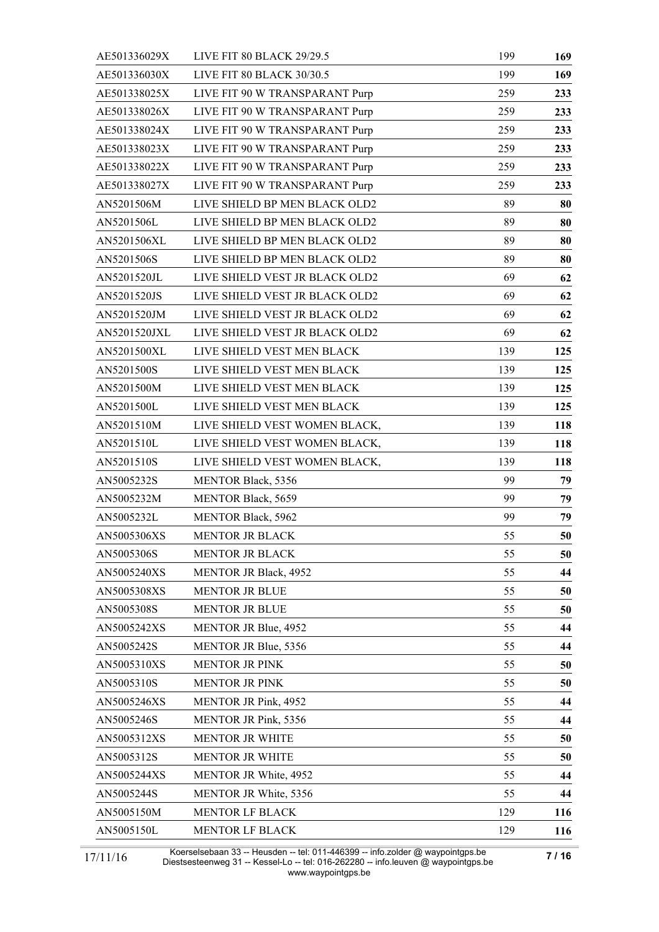| LIVE FIT 80 BLACK 29/29.5      | 199 | 169 |
|--------------------------------|-----|-----|
| LIVE FIT 80 BLACK 30/30.5      | 199 | 169 |
| LIVE FIT 90 W TRANSPARANT Purp | 259 | 233 |
| LIVE FIT 90 W TRANSPARANT Purp | 259 | 233 |
| LIVE FIT 90 W TRANSPARANT Purp | 259 | 233 |
| LIVE FIT 90 W TRANSPARANT Purp | 259 | 233 |
| LIVE FIT 90 W TRANSPARANT Purp | 259 | 233 |
| LIVE FIT 90 W TRANSPARANT Purp | 259 | 233 |
| LIVE SHIELD BP MEN BLACK OLD2  | 89  | 80  |
| LIVE SHIELD BP MEN BLACK OLD2  | 89  | 80  |
| LIVE SHIELD BP MEN BLACK OLD2  | 89  | 80  |
| LIVE SHIELD BP MEN BLACK OLD2  | 89  | 80  |
| LIVE SHIELD VEST JR BLACK OLD2 | 69  | 62  |
| LIVE SHIELD VEST JR BLACK OLD2 | 69  | 62  |
| LIVE SHIELD VEST JR BLACK OLD2 | 69  | 62  |
| LIVE SHIELD VEST JR BLACK OLD2 | 69  | 62  |
| LIVE SHIELD VEST MEN BLACK     | 139 | 125 |
| LIVE SHIELD VEST MEN BLACK     | 139 | 125 |
| LIVE SHIELD VEST MEN BLACK     | 139 | 125 |
| LIVE SHIELD VEST MEN BLACK     | 139 | 125 |
| LIVE SHIELD VEST WOMEN BLACK,  | 139 | 118 |
| LIVE SHIELD VEST WOMEN BLACK,  | 139 | 118 |
| LIVE SHIELD VEST WOMEN BLACK,  | 139 | 118 |
| <b>MENTOR Black, 5356</b>      | 99  | 79  |
| <b>MENTOR Black, 5659</b>      | 99  | 79  |
| <b>MENTOR Black, 5962</b>      | 99  | 79  |
| <b>MENTOR JR BLACK</b>         | 55  | 50  |
| <b>MENTOR JR BLACK</b>         | 55  | 50  |
| MENTOR JR Black, 4952          | 55  | 44  |
| <b>MENTOR JR BLUE</b>          | 55  | 50  |
| <b>MENTOR JR BLUE</b>          | 55  | 50  |
| MENTOR JR Blue, 4952           | 55  | 44  |
| MENTOR JR Blue, 5356           | 55  | 44  |
| <b>MENTOR JR PINK</b>          | 55  | 50  |
| <b>MENTOR JR PINK</b>          | 55  | 50  |
| <b>MENTOR JR Pink, 4952</b>    | 55  | 44  |
| MENTOR JR Pink, 5356           | 55  | 44  |
| <b>MENTOR JR WHITE</b>         | 55  | 50  |
| <b>MENTOR JR WHITE</b>         | 55  | 50  |
| MENTOR JR White, 4952          | 55  | 44  |
| MENTOR JR White, 5356          | 55  | 44  |
| MENTOR LF BLACK                | 129 | 116 |
| MENTOR LF BLACK                | 129 | 116 |
|                                |     |     |

Koerselsebaan 33 -- Heusden -- tel: 011-446399 -- info.zolder @ waypointgps.be Diestsesteenweg 31 -- Kessel-Lo -- tel: 016-262280 -- info.leuven @ waypointgps.be www.waypointgps.be 17/11/16 **1898-1898-1898-1998 -- 1898-1999 -- 1898-1999** -- 1898-1999 -- 1898-1999 -- 1898-1999 -- 1898-1999 -- 1<br>17/11/16 Diestsesteenwer: 31 -- Kessel-Lo -- tel: 016-262280 -- info leuven @ waypointrins he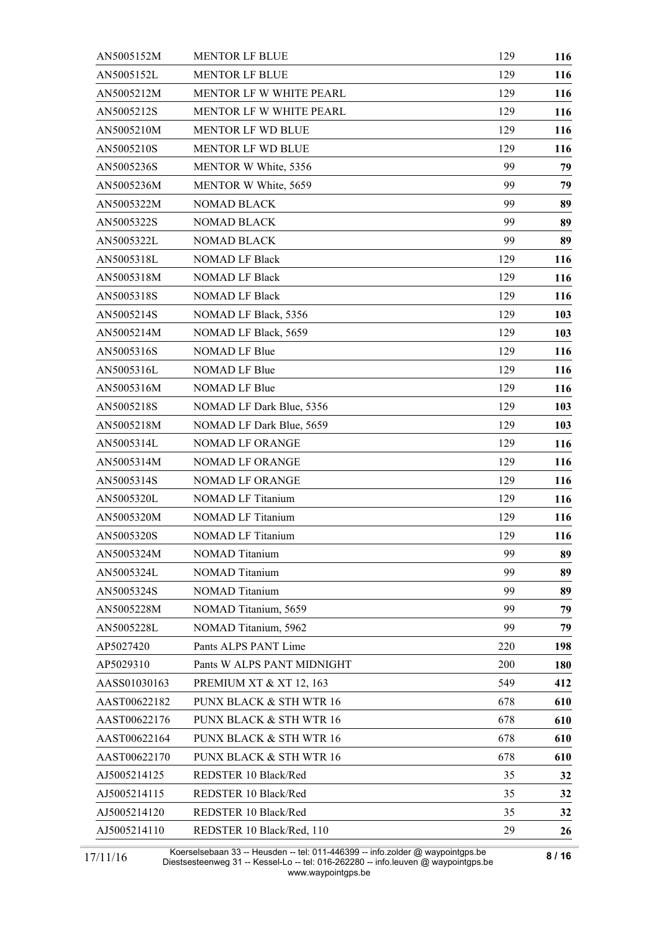| AN5005152M   | <b>MENTOR LF BLUE</b>              | 129 | 116 |
|--------------|------------------------------------|-----|-----|
| AN5005152L   | <b>MENTOR LF BLUE</b>              | 129 | 116 |
| AN5005212M   | MENTOR LF W WHITE PEARL            | 129 | 116 |
| AN5005212S   | MENTOR LF W WHITE PEARL            | 129 | 116 |
| AN5005210M   | <b>MENTOR LF WD BLUE</b>           | 129 | 116 |
| AN5005210S   | <b>MENTOR LF WD BLUE</b>           | 129 | 116 |
| AN5005236S   | MENTOR W White, 5356               | 99  | 79  |
| AN5005236M   | MENTOR W White, 5659               | 99  | 79  |
| AN5005322M   | <b>NOMAD BLACK</b>                 | 99  | 89  |
| AN5005322S   | <b>NOMAD BLACK</b>                 | 99  | 89  |
| AN5005322L   | <b>NOMAD BLACK</b>                 | 99  | 89  |
| AN5005318L   | <b>NOMAD LF Black</b>              | 129 | 116 |
| AN5005318M   | <b>NOMAD LF Black</b>              | 129 | 116 |
| AN5005318S   | <b>NOMAD LF Black</b>              | 129 | 116 |
| AN5005214S   | NOMAD LF Black, 5356               | 129 | 103 |
| AN5005214M   | NOMAD LF Black, 5659               | 129 | 103 |
| AN5005316S   | <b>NOMAD LF Blue</b>               | 129 | 116 |
| AN5005316L   | NOMAD LF Blue                      | 129 | 116 |
| AN5005316M   | NOMAD LF Blue                      | 129 | 116 |
| AN5005218S   | NOMAD LF Dark Blue, 5356           | 129 | 103 |
| AN5005218M   | NOMAD LF Dark Blue, 5659           | 129 | 103 |
| AN5005314L   | NOMAD LF ORANGE                    | 129 | 116 |
| AN5005314M   | <b>NOMAD LF ORANGE</b>             | 129 | 116 |
| AN5005314S   | <b>NOMAD LF ORANGE</b>             | 129 | 116 |
| AN5005320L   | <b>NOMAD LF Titanium</b>           | 129 | 116 |
| AN5005320M   | <b>NOMAD LF Titanium</b>           | 129 | 116 |
| AN5005320S   | <b>NOMAD LF Titanium</b>           | 129 | 116 |
| AN5005324M   | <b>NOMAD</b> Titanium              | 99  | 89  |
| AN5005324L   | <b>NOMAD</b> Titanium              | 99  | 89  |
| AN5005324S   | <b>NOMAD</b> Titanium              | 99  | 89  |
| AN5005228M   | NOMAD Titanium, 5659               | 99  | 79  |
| AN5005228L   | NOMAD Titanium, 5962               | 99  | 79  |
| AP5027420    | Pants ALPS PANT Lime               | 220 | 198 |
| AP5029310    | Pants W ALPS PANT MIDNIGHT         | 200 | 180 |
| AASS01030163 | <b>PREMIUM XT &amp; XT 12, 163</b> | 549 | 412 |
| AAST00622182 | PUNX BLACK & STH WTR 16            | 678 | 610 |
| AAST00622176 | PUNX BLACK & STH WTR 16            | 678 | 610 |
| AAST00622164 | PUNX BLACK & STH WTR 16            | 678 | 610 |
| AAST00622170 | PUNX BLACK & STH WTR 16            | 678 | 610 |
| AJ5005214125 | REDSTER 10 Black/Red               | 35  | 32  |
| AJ5005214115 | REDSTER 10 Black/Red               | 35  | 32  |
| AJ5005214120 | REDSTER 10 Black/Red               | 35  | 32  |
| AJ5005214110 | REDSTER 10 Black/Red, 110          | 29  | 26  |

Koerselsebaan 33 -- Heusden -- tel: 011-446399 -- info.zolder @ waypointgps.be Diestsesteenweg 31 -- Kessel-Lo -- tel: 016-262280 -- info.leuven @ waypointgps.be www.waypointgps.be 17/11/16 **1888-1988 - 1988-1988 - 1988-1988 - 1988-1988** - 1988-1988 - 1988-1988 - 1988-1988 - 1988-1988 - 1988-1<br>17/11/16 Diestsesteenwer 31 - Kessel-Lo - tel: 016-262280 - info leuven @ waypointrins he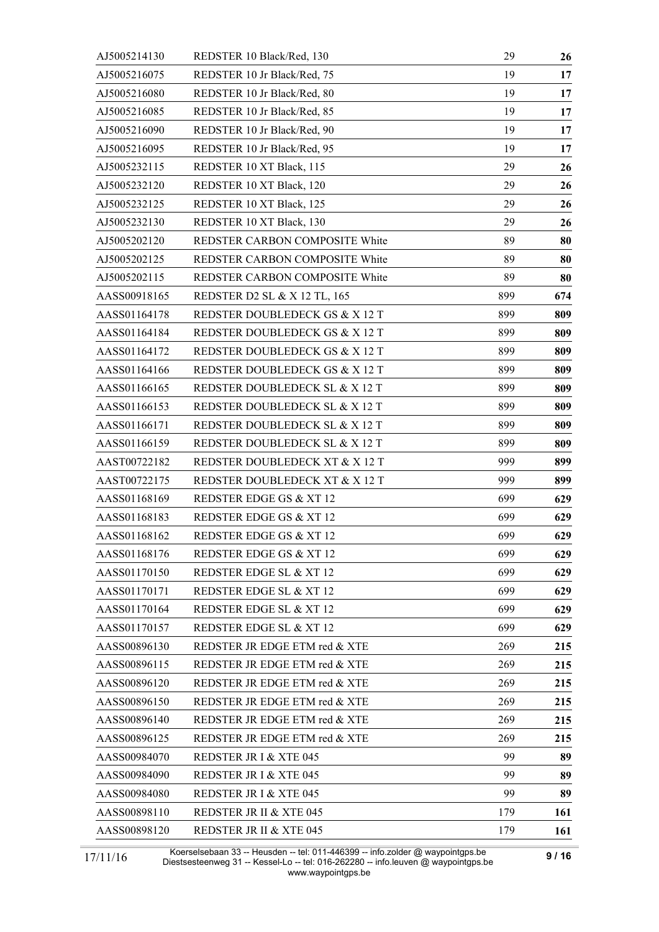| AJ5005214130 | REDSTER 10 Black/Red, 130          | 29  | 26  |
|--------------|------------------------------------|-----|-----|
| AJ5005216075 | REDSTER 10 Jr Black/Red, 75        | 19  | 17  |
| AJ5005216080 | REDSTER 10 Jr Black/Red, 80        | 19  | 17  |
| AJ5005216085 | REDSTER 10 Jr Black/Red, 85        | 19  | 17  |
| AJ5005216090 | REDSTER 10 Jr Black/Red, 90        | 19  | 17  |
| AJ5005216095 | REDSTER 10 Jr Black/Red, 95        | 19  | 17  |
| AJ5005232115 | REDSTER 10 XT Black, 115           | 29  | 26  |
| AJ5005232120 | REDSTER 10 XT Black, 120           | 29  | 26  |
| AJ5005232125 | REDSTER 10 XT Black, 125           | 29  | 26  |
| AJ5005232130 | REDSTER 10 XT Black, 130           | 29  | 26  |
| AJ5005202120 | REDSTER CARBON COMPOSITE White     | 89  | 80  |
| AJ5005202125 | REDSTER CARBON COMPOSITE White     | 89  | 80  |
| AJ5005202115 | REDSTER CARBON COMPOSITE White     | 89  | 80  |
| AASS00918165 | REDSTER D2 SL & X 12 TL, 165       | 899 | 674 |
| AASS01164178 | REDSTER DOUBLEDECK GS & X 12 T     | 899 | 809 |
| AASS01164184 | REDSTER DOUBLEDECK GS & X 12 T     | 899 | 809 |
| AASS01164172 | REDSTER DOUBLEDECK GS & X 12 T     | 899 | 809 |
| AASS01164166 | REDSTER DOUBLEDECK GS & X 12 T     | 899 | 809 |
| AASS01166165 | REDSTER DOUBLEDECK SL & X 12 T     | 899 | 809 |
| AASS01166153 | REDSTER DOUBLEDECK SL & X 12 T     | 899 | 809 |
| AASS01166171 | REDSTER DOUBLEDECK SL & X 12 T     | 899 | 809 |
| AASS01166159 | REDSTER DOUBLEDECK SL & X 12 T     | 899 | 809 |
| AAST00722182 | REDSTER DOUBLEDECK XT & X 12 T     | 999 | 899 |
| AAST00722175 | REDSTER DOUBLEDECK XT & X 12 T     | 999 | 899 |
| AASS01168169 | REDSTER EDGE GS & XT 12            | 699 | 629 |
| AASS01168183 | REDSTER EDGE GS & XT 12            | 699 | 629 |
| AASS01168162 | REDSTER EDGE GS & XT 12            | 699 | 629 |
| AASS01168176 | <b>REDSTER EDGE GS &amp; XT 12</b> | 699 | 629 |
| AASS01170150 | REDSTER EDGE SL & XT 12            | 699 | 629 |
| AASS01170171 | REDSTER EDGE SL & XT 12            | 699 | 629 |
| AASS01170164 | REDSTER EDGE SL & XT 12            | 699 | 629 |
| AASS01170157 | REDSTER EDGE SL & XT 12            | 699 | 629 |
| AASS00896130 | REDSTER JR EDGE ETM red & XTE      | 269 | 215 |
| AASS00896115 | REDSTER JR EDGE ETM red & XTE      | 269 | 215 |
| AASS00896120 | REDSTER JR EDGE ETM red & XTE      | 269 | 215 |
| AASS00896150 | REDSTER JR EDGE ETM red & XTE      | 269 | 215 |
| AASS00896140 | REDSTER JR EDGE ETM red & XTE      | 269 | 215 |
| AASS00896125 | REDSTER JR EDGE ETM red & XTE      | 269 | 215 |
| AASS00984070 | REDSTER JR I & XTE 045             | 99  | 89  |
| AASS00984090 | <b>REDSTER JR I &amp; XTE 045</b>  | 99  | 89  |
| AASS00984080 | <b>REDSTER JR I &amp; XTE 045</b>  | 99  | 89  |
| AASS00898110 | <b>REDSTER JR II &amp; XTE 045</b> | 179 | 161 |
| AASS00898120 | <b>REDSTER JR II &amp; XTE 045</b> | 179 | 161 |

Koerselsebaan 33 -- Heusden -- tel: 011-446399 -- info.zolder @ waypointgps.be Diestsesteenweg 31 -- Kessel-Lo -- tel: 016-262280 -- info.leuven @ waypointgps.be www.waypointgps.be 17/11/16 **9 / 16**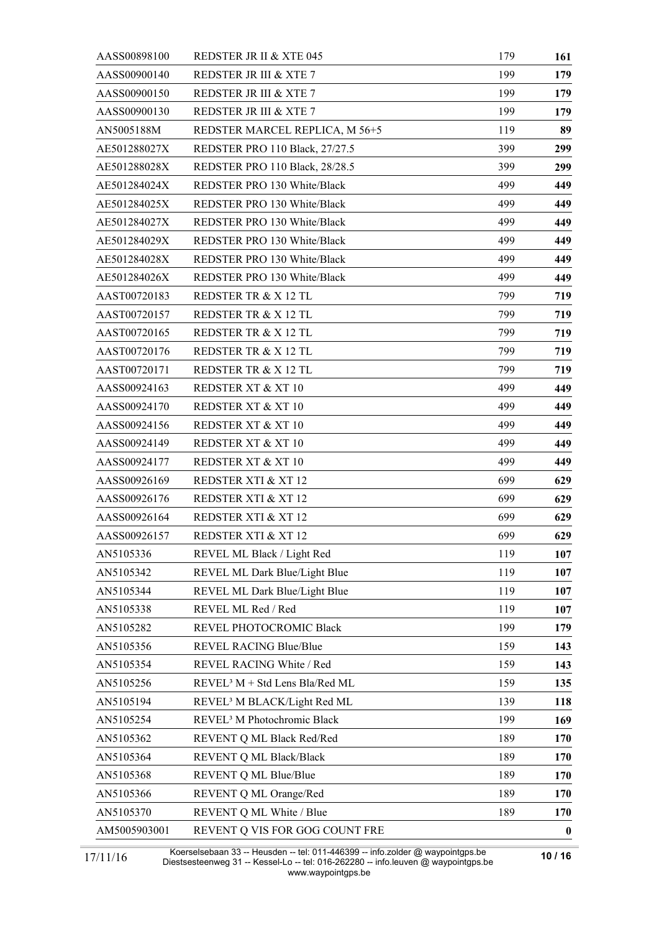| AASS00898100 | <b>REDSTER JR II &amp; XTE 045</b>         | 179 | 161      |
|--------------|--------------------------------------------|-----|----------|
| AASS00900140 | <b>REDSTER JR III &amp; XTE 7</b>          | 199 | 179      |
| AASS00900150 | <b>REDSTER JR III &amp; XTE 7</b>          | 199 | 179      |
| AASS00900130 | <b>REDSTER JR III &amp; XTE 7</b>          | 199 | 179      |
| AN5005188M   | REDSTER MARCEL REPLICA, M 56+5             | 119 | 89       |
| AE501288027X | <b>REDSTER PRO 110 Black, 27/27.5</b>      | 399 | 299      |
| AE501288028X | REDSTER PRO 110 Black, 28/28.5             | 399 | 299      |
| AE501284024X | REDSTER PRO 130 White/Black                | 499 | 449      |
| AE501284025X | REDSTER PRO 130 White/Black                | 499 | 449      |
| AE501284027X | REDSTER PRO 130 White/Black                | 499 | 449      |
| AE501284029X | REDSTER PRO 130 White/Black                | 499 | 449      |
| AE501284028X | REDSTER PRO 130 White/Black                | 499 | 449      |
| AE501284026X | REDSTER PRO 130 White/Black                | 499 | 449      |
| AAST00720183 | REDSTER TR & X 12 TL                       | 799 | 719      |
| AAST00720157 | REDSTER TR & X 12 TL                       | 799 | 719      |
| AAST00720165 | REDSTER TR & X 12 TL                       | 799 | 719      |
| AAST00720176 | REDSTER TR & X 12 TL                       | 799 | 719      |
| AAST00720171 | REDSTER TR & X 12 TL                       | 799 | 719      |
| AASS00924163 | REDSTER XT & XT 10                         | 499 | 449      |
| AASS00924170 | REDSTER XT & XT 10                         | 499 | 449      |
| AASS00924156 | REDSTER XT & XT 10                         | 499 | 449      |
| AASS00924149 | REDSTER XT & XT 10                         | 499 | 449      |
| AASS00924177 | REDSTER XT & XT 10                         | 499 | 449      |
| AASS00926169 | <b>REDSTER XTI &amp; XT 12</b>             | 699 | 629      |
| AASS00926176 | <b>REDSTER XTI &amp; XT 12</b>             | 699 | 629      |
| AASS00926164 | REDSTER XTI & XT 12                        | 699 | 629      |
| AASS00926157 | <b>REDSTER XTI &amp; XT 12</b>             | 699 | 629      |
| AN5105336    | REVEL ML Black / Light Red                 | 119 | 107      |
| AN5105342    | REVEL ML Dark Blue/Light Blue              | 119 | 107      |
| AN5105344    | REVEL ML Dark Blue/Light Blue              | 119 | 107      |
| AN5105338    | REVEL ML Red / Red                         | 119 | 107      |
| AN5105282    | REVEL PHOTOCROMIC Black                    | 199 | 179      |
| AN5105356    | REVEL RACING Blue/Blue                     | 159 | 143      |
| AN5105354    | REVEL RACING White / Red                   | 159 | 143      |
| AN5105256    | REVEL <sup>3</sup> M + Std Lens Bla/Red ML | 159 | 135      |
| AN5105194    | REVEL <sup>3</sup> M BLACK/Light Red ML    | 139 | 118      |
| AN5105254    | REVEL <sup>3</sup> M Photochromic Black    | 199 | 169      |
| AN5105362    | REVENT Q ML Black Red/Red                  | 189 | 170      |
| AN5105364    | REVENT Q ML Black/Black                    | 189 | 170      |
| AN5105368    | REVENT Q ML Blue/Blue                      | 189 | 170      |
| AN5105366    | REVENT Q ML Orange/Red                     | 189 | 170      |
| AN5105370    | REVENT Q ML White / Blue                   | 189 | 170      |
| AM5005903001 | REVENT Q VIS FOR GOG COUNT FRE             |     | $\bf{0}$ |

Koerselsebaan 33 -- Heusden -- tel: 011-446399 -- info.zolder @ waypointgps.be Diestsesteenweg 31 -- Kessel-Lo -- tel: 016-262280 -- info.leuven @ waypointgps.be www.waypointgps.be 17/11/16 **10 / 16**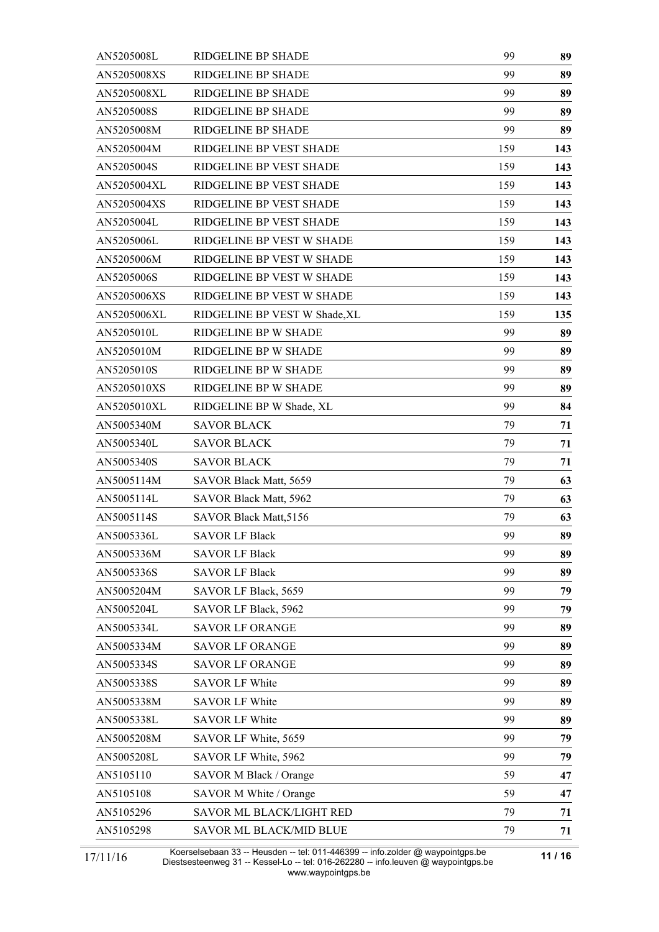| AN5205008L  | RIDGELINE BP SHADE            | 99  | 89  |
|-------------|-------------------------------|-----|-----|
| AN5205008XS | RIDGELINE BP SHADE            | 99  | 89  |
| AN5205008XL | RIDGELINE BP SHADE            | 99  | 89  |
| AN5205008S  | RIDGELINE BP SHADE            | 99  | 89  |
| AN5205008M  | RIDGELINE BP SHADE            | 99  | 89  |
| AN5205004M  | RIDGELINE BP VEST SHADE       | 159 | 143 |
| AN5205004S  | RIDGELINE BP VEST SHADE       | 159 | 143 |
| AN5205004XL | RIDGELINE BP VEST SHADE       | 159 | 143 |
| AN5205004XS | RIDGELINE BP VEST SHADE       | 159 | 143 |
| AN5205004L  | RIDGELINE BP VEST SHADE       | 159 | 143 |
| AN5205006L  | RIDGELINE BP VEST W SHADE     | 159 | 143 |
| AN5205006M  | RIDGELINE BP VEST W SHADE     | 159 | 143 |
| AN5205006S  | RIDGELINE BP VEST W SHADE     | 159 | 143 |
| AN5205006XS | RIDGELINE BP VEST W SHADE     | 159 | 143 |
| AN5205006XL | RIDGELINE BP VEST W Shade, XL | 159 | 135 |
| AN5205010L  | RIDGELINE BP W SHADE          | 99  | 89  |
| AN5205010M  | RIDGELINE BP W SHADE          | 99  | 89  |
| AN5205010S  | RIDGELINE BP W SHADE          | 99  | 89  |
| AN5205010XS | RIDGELINE BP W SHADE          | 99  | 89  |
| AN5205010XL | RIDGELINE BP W Shade, XL      | 99  | 84  |
| AN5005340M  | <b>SAVOR BLACK</b>            | 79  | 71  |
| AN5005340L  | <b>SAVOR BLACK</b>            | 79  | 71  |
| AN5005340S  | <b>SAVOR BLACK</b>            | 79  | 71  |
| AN5005114M  | SAVOR Black Matt, 5659        | 79  | 63  |
| AN5005114L  | SAVOR Black Matt, 5962        | 79  | 63  |
| AN5005114S  | <b>SAVOR Black Matt, 5156</b> | 79  | 63  |
| AN5005336L  | <b>SAVOR LF Black</b>         | 99  | 89  |
| AN5005336M  | <b>SAVOR LF Black</b>         | 99  | 89  |
| AN5005336S  | <b>SAVOR LF Black</b>         | 99  | 89  |
| AN5005204M  | SAVOR LF Black, 5659          | 99  | 79  |
| AN5005204L  | SAVOR LF Black, 5962          | 99  | 79  |
| AN5005334L  | <b>SAVOR LF ORANGE</b>        | 99  | 89  |
| AN5005334M  | <b>SAVOR LF ORANGE</b>        | 99  | 89  |
| AN5005334S  | <b>SAVOR LF ORANGE</b>        | 99  | 89  |
| AN5005338S  | <b>SAVOR LF White</b>         | 99  | 89  |
| AN5005338M  | <b>SAVOR LF White</b>         | 99  | 89  |
| AN5005338L  | <b>SAVOR LF White</b>         | 99  | 89  |
| AN5005208M  | SAVOR LF White, 5659          | 99  | 79  |
| AN5005208L  | SAVOR LF White, 5962          | 99  | 79  |
| AN5105110   | SAVOR M Black / Orange        | 59  | 47  |
| AN5105108   | SAVOR M White / Orange        | 59  | 47  |
| AN5105296   | SAVOR ML BLACK/LIGHT RED      | 79  | 71  |
| AN5105298   | SAVOR ML BLACK/MID BLUE       | 79  | 71  |

Koerselsebaan 33 -- Heusden -- tel: 011-446399 -- info.zolder @ waypointgps.be Diestsesteenweg 31 -- Kessel-Lo -- tel: 016-262280 -- info.leuven @ waypointgps.be www.waypointgps.be 17/11/16 **11/16 11/16 11/16 11/16 12/11/16 12/11/16 12/11/16 12/11/16 12/11/16 12/11/16 12/11/16 12/11/16 12/11/16 12/11/16 12/11/16 12/11/16 12/11/16 12/11/16 12/11/16 12/11/11**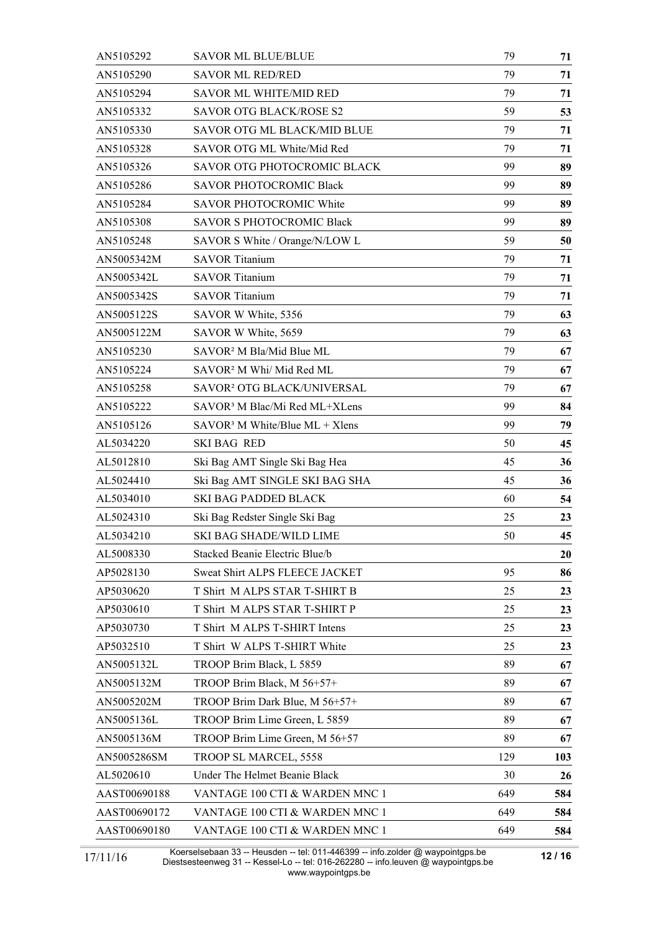| AN5105292    | <b>SAVOR ML BLUE/BLUE</b>                 | 79  | 71  |
|--------------|-------------------------------------------|-----|-----|
| AN5105290    | <b>SAVOR ML RED/RED</b>                   | 79  | 71  |
| AN5105294    | <b>SAVOR ML WHITE/MID RED</b>             | 79  | 71  |
| AN5105332    | SAVOR OTG BLACK/ROSE S2                   | 59  | 53  |
| AN5105330    | <b>SAVOR OTG ML BLACK/MID BLUE</b>        | 79  | 71  |
| AN5105328    | SAVOR OTG ML White/Mid Red                | 79  | 71  |
| AN5105326    | SAVOR OTG PHOTOCROMIC BLACK               | 99  | 89  |
| AN5105286    | <b>SAVOR PHOTOCROMIC Black</b>            | 99  | 89  |
| AN5105284    | <b>SAVOR PHOTOCROMIC White</b>            | 99  | 89  |
| AN5105308    | <b>SAVOR S PHOTOCROMIC Black</b>          | 99  | 89  |
| AN5105248    | SAVOR S White / Orange/N/LOW L            | 59  | 50  |
| AN5005342M   | <b>SAVOR Titanium</b>                     | 79  | 71  |
| AN5005342L   | <b>SAVOR Titanium</b>                     | 79  | 71  |
| AN5005342S   | <b>SAVOR Titanium</b>                     | 79  | 71  |
| AN5005122S   | SAVOR W White, 5356                       | 79  | 63  |
| AN5005122M   | SAVOR W White, 5659                       | 79  | 63  |
| AN5105230    | SAVOR <sup>2</sup> M Bla/Mid Blue ML      | 79  | 67  |
| AN5105224    | SAVOR <sup>2</sup> M Whi/ Mid Red ML      | 79  | 67  |
| AN5105258    | SAVOR <sup>2</sup> OTG BLACK/UNIVERSAL    | 79  | 67  |
| AN5105222    | SAVOR <sup>3</sup> M Blac/Mi Red ML+XLens | 99  | 84  |
| AN5105126    | $SAVOR3 M White/Blue ML + Xlens$          | 99  | 79  |
| AL5034220    | <b>SKI BAG RED</b>                        | 50  | 45  |
| AL5012810    | Ski Bag AMT Single Ski Bag Hea            | 45  | 36  |
| AL5024410    | Ski Bag AMT SINGLE SKI BAG SHA            | 45  | 36  |
| AL5034010    | <b>SKI BAG PADDED BLACK</b>               | 60  | 54  |
| AL5024310    | Ski Bag Redster Single Ski Bag            | 25  | 23  |
| AL5034210    | <b>SKI BAG SHADE/WILD LIME</b>            | 50  | 45  |
| AL5008330    | Stacked Beanie Electric Blue/b            |     | 20  |
| AP5028130    | Sweat Shirt ALPS FLEECE JACKET            | 95  | 86  |
| AP5030620    | T Shirt M ALPS STAR T-SHIRT B             | 25  | 23  |
| AP5030610    | T Shirt M ALPS STAR T-SHIRT P             | 25  | 23  |
| AP5030730    | T Shirt M ALPS T-SHIRT Intens             | 25  | 23  |
| AP5032510    | T Shirt W ALPS T-SHIRT White              | 25  | 23  |
| AN5005132L   | TROOP Brim Black, L 5859                  | 89  | 67  |
| AN5005132M   | TROOP Brim Black, M 56+57+                | 89  | 67  |
| AN5005202M   | TROOP Brim Dark Blue, M 56+57+            | 89  | 67  |
| AN5005136L   | TROOP Brim Lime Green, L 5859             | 89  | 67  |
| AN5005136M   | TROOP Brim Lime Green, M 56+57            | 89  | 67  |
| AN5005286SM  | TROOP SL MARCEL, 5558                     | 129 | 103 |
| AL5020610    | Under The Helmet Beanie Black             | 30  | 26  |
| AAST00690188 | VANTAGE 100 CTI & WARDEN MNC 1            | 649 | 584 |
| AAST00690172 | VANTAGE 100 CTI & WARDEN MNC 1            | 649 | 584 |
| AAST00690180 | VANTAGE 100 CTI & WARDEN MNC 1            | 649 | 584 |

Koerselsebaan 33 -- Heusden -- tel: 011-446399 -- info.zolder @ waypointgps.be Diestsesteenweg 31 -- Kessel-Lo -- tel: 016-262280 -- info.leuven @ waypointgps.be www.waypointgps.be 17/11/16 **12/16 12/16 12/16 12/16 12/16 12/16 12/16 12/16 12/16 12/16 12/16 12/16 12/16 12/16 12/16 12/16 12/16 12/16 12/16 12/16 12/16 12/16 12/16 12/16 12/16 12/16 12/1**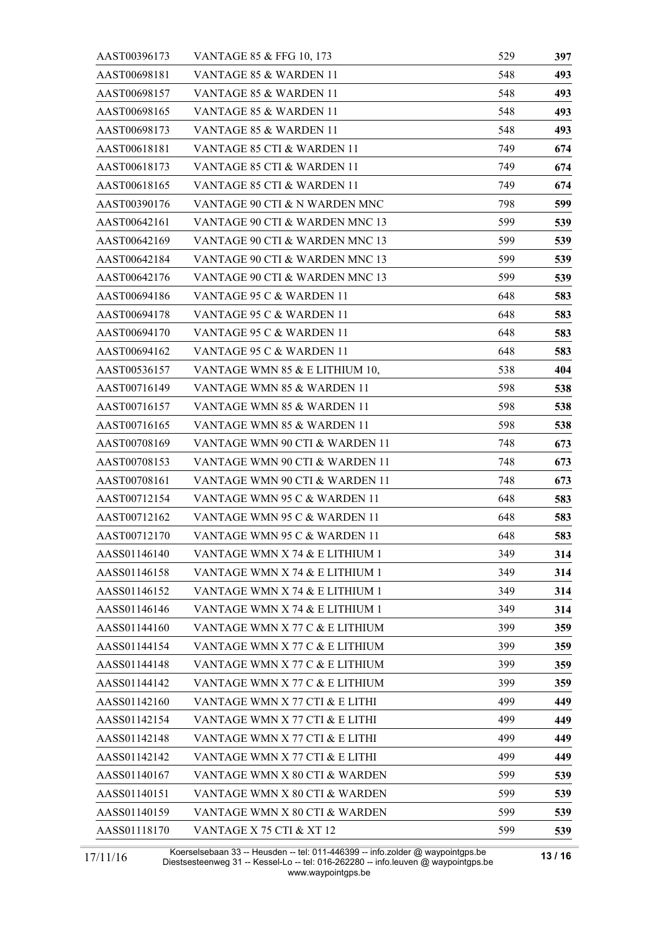| AAST00396173 | VANTAGE 85 & FFG 10, 173       | 529 | 397 |
|--------------|--------------------------------|-----|-----|
| AAST00698181 | VANTAGE 85 & WARDEN 11         | 548 | 493 |
| AAST00698157 | VANTAGE 85 & WARDEN 11         | 548 | 493 |
| AAST00698165 | VANTAGE 85 & WARDEN 11         | 548 | 493 |
| AAST00698173 | VANTAGE 85 & WARDEN 11         | 548 | 493 |
| AAST00618181 | VANTAGE 85 CTI & WARDEN 11     | 749 | 674 |
| AAST00618173 | VANTAGE 85 CTI & WARDEN 11     | 749 | 674 |
| AAST00618165 | VANTAGE 85 CTI & WARDEN 11     | 749 | 674 |
| AAST00390176 | VANTAGE 90 CTI & N WARDEN MNC  | 798 | 599 |
| AAST00642161 | VANTAGE 90 CTI & WARDEN MNC 13 | 599 | 539 |
| AAST00642169 | VANTAGE 90 CTI & WARDEN MNC 13 | 599 | 539 |
| AAST00642184 | VANTAGE 90 CTI & WARDEN MNC 13 | 599 | 539 |
| AAST00642176 | VANTAGE 90 CTI & WARDEN MNC 13 | 599 | 539 |
| AAST00694186 | VANTAGE 95 C & WARDEN 11       | 648 | 583 |
| AAST00694178 | VANTAGE 95 C & WARDEN 11       | 648 | 583 |
| AAST00694170 | VANTAGE 95 C & WARDEN 11       | 648 | 583 |
| AAST00694162 | VANTAGE 95 C & WARDEN 11       | 648 | 583 |
| AAST00536157 | VANTAGE WMN 85 & E LITHIUM 10, | 538 | 404 |
| AAST00716149 | VANTAGE WMN 85 & WARDEN 11     | 598 | 538 |
| AAST00716157 | VANTAGE WMN 85 & WARDEN 11     | 598 | 538 |
| AAST00716165 | VANTAGE WMN 85 & WARDEN 11     | 598 | 538 |
| AAST00708169 | VANTAGE WMN 90 CTI & WARDEN 11 | 748 | 673 |
| AAST00708153 | VANTAGE WMN 90 CTI & WARDEN 11 | 748 | 673 |
| AAST00708161 | VANTAGE WMN 90 CTI & WARDEN 11 | 748 | 673 |
| AAST00712154 | VANTAGE WMN 95 C & WARDEN 11   | 648 | 583 |
| AAST00712162 | VANTAGE WMN 95 C & WARDEN 11   | 648 | 583 |
| AAST00712170 | VANTAGE WMN 95 C & WARDEN 11   | 648 | 583 |
| AASS01146140 | VANTAGE WMN X 74 & E LITHIUM 1 | 349 | 314 |
| AASS01146158 | VANTAGE WMN X 74 & E LITHIUM 1 | 349 | 314 |
| AASS01146152 | VANTAGE WMN X 74 & E LITHIUM 1 | 349 | 314 |
| AASS01146146 | VANTAGE WMN X 74 & E LITHIUM 1 | 349 | 314 |
| AASS01144160 | VANTAGE WMN X 77 C & E LITHIUM | 399 | 359 |
| AASS01144154 | VANTAGE WMN X 77 C & E LITHIUM | 399 | 359 |
| AASS01144148 | VANTAGE WMN X 77 C & E LITHIUM | 399 | 359 |
| AASS01144142 | VANTAGE WMN X 77 C & E LITHIUM | 399 | 359 |
| AASS01142160 | VANTAGE WMN X 77 CTI & E LITHI | 499 | 449 |
| AASS01142154 | VANTAGE WMN X 77 CTI & E LITHI | 499 | 449 |
| AASS01142148 | VANTAGE WMN X 77 CTI & E LITHI | 499 | 449 |
| AASS01142142 | VANTAGE WMN X 77 CTI & E LITHI | 499 | 449 |
| AASS01140167 | VANTAGE WMN X 80 CTI & WARDEN  | 599 | 539 |
| AASS01140151 | VANTAGE WMN X 80 CTI & WARDEN  | 599 | 539 |
| AASS01140159 | VANTAGE WMN X 80 CTI & WARDEN  | 599 | 539 |
| AASS01118170 | VANTAGE X 75 CTI & XT 12       | 599 | 539 |

Koerselsebaan 33 -- Heusden -- tel: 011-446399 -- info.zolder @ waypointgps.be Diestsesteenweg 31 -- Kessel-Lo -- tel: 016-262280 -- info.leuven @ waypointgps.be www.waypointgps.be 17/11/16 **13 / 16**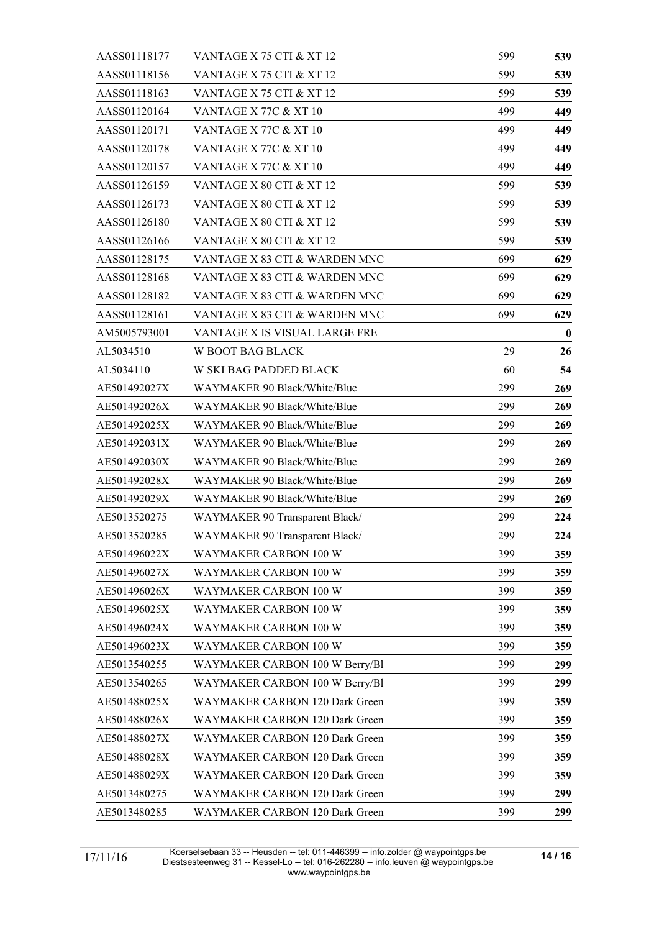| AASS01118177 | VANTAGE X 75 CTI & XT 12         | 599 | 539      |  |
|--------------|----------------------------------|-----|----------|--|
| AASS01118156 | VANTAGE X 75 CTI & XT 12         | 599 | 539      |  |
| AASS01118163 | 599                              | 539 |          |  |
| AASS01120164 | 499                              | 449 |          |  |
| AASS01120171 | VANTAGE X 77C & XT 10            | 499 | 449      |  |
| AASS01120178 | VANTAGE X 77C & XT 10            | 499 | 449      |  |
| AASS01120157 | <b>VANTAGE X 77C &amp; XT 10</b> |     |          |  |
| AASS01126159 | VANTAGE X 80 CTI & XT 12         |     |          |  |
| AASS01126173 | 599                              | 539 |          |  |
| AASS01126180 | VANTAGE X 80 CTI & XT 12         | 599 | 539      |  |
| AASS01126166 | VANTAGE X 80 CTI & XT 12         | 599 | 539      |  |
| AASS01128175 | VANTAGE X 83 CTI & WARDEN MNC    |     |          |  |
| AASS01128168 | VANTAGE X 83 CTI & WARDEN MNC    | 699 | 629      |  |
| AASS01128182 | VANTAGE X 83 CTI & WARDEN MNC    | 699 | 629      |  |
| AASS01128161 | VANTAGE X 83 CTI & WARDEN MNC    | 699 | 629      |  |
| AM5005793001 | VANTAGE X IS VISUAL LARGE FRE    |     | $\bf{0}$ |  |
| AL5034510    | W BOOT BAG BLACK                 | 29  | 26       |  |
| AL5034110    | W SKI BAG PADDED BLACK           | 60  | 54       |  |
| AE501492027X | WAYMAKER 90 Black/White/Blue     | 299 | 269      |  |
| AE501492026X | WAYMAKER 90 Black/White/Blue     | 299 | 269      |  |
| AE501492025X | WAYMAKER 90 Black/White/Blue     | 299 | 269      |  |
| AE501492031X | WAYMAKER 90 Black/White/Blue     | 299 | 269      |  |
| AE501492030X | WAYMAKER 90 Black/White/Blue     | 299 | 269      |  |
| AE501492028X | WAYMAKER 90 Black/White/Blue     | 299 | 269      |  |
| AE501492029X | WAYMAKER 90 Black/White/Blue     | 299 | 269      |  |
| AE5013520275 | WAYMAKER 90 Transparent Black/   | 299 | 224      |  |
| AE5013520285 | WAYMAKER 90 Transparent Black/   | 299 | 224      |  |
| AE501496022X | WAYMAKER CARBON 100 W            | 399 | 359      |  |
| AE501496027X | WAYMAKER CARBON 100 W            | 399 | 359      |  |
| AE501496026X | WAYMAKER CARBON 100 W            | 399 | 359      |  |
| AE501496025X | <b>WAYMAKER CARBON 100 W</b>     | 399 | 359      |  |
| AE501496024X | WAYMAKER CARBON 100 W            | 399 | 359      |  |
| AE501496023X | WAYMAKER CARBON 100 W            | 399 | 359      |  |
| AE5013540255 | WAYMAKER CARBON 100 W Berry/Bl   | 399 | 299      |  |
| AE5013540265 | WAYMAKER CARBON 100 W Berry/Bl   | 399 | 299      |  |
| AE501488025X | WAYMAKER CARBON 120 Dark Green   | 399 | 359      |  |
| AE501488026X | WAYMAKER CARBON 120 Dark Green   | 399 | 359      |  |
| AE501488027X | WAYMAKER CARBON 120 Dark Green   | 399 | 359      |  |
| AE501488028X | WAYMAKER CARBON 120 Dark Green   | 399 | 359      |  |
| AE501488029X | WAYMAKER CARBON 120 Dark Green   | 399 | 359      |  |
| AE5013480275 | WAYMAKER CARBON 120 Dark Green   | 399 | 299      |  |
| AE5013480285 | WAYMAKER CARBON 120 Dark Green   | 399 | 299      |  |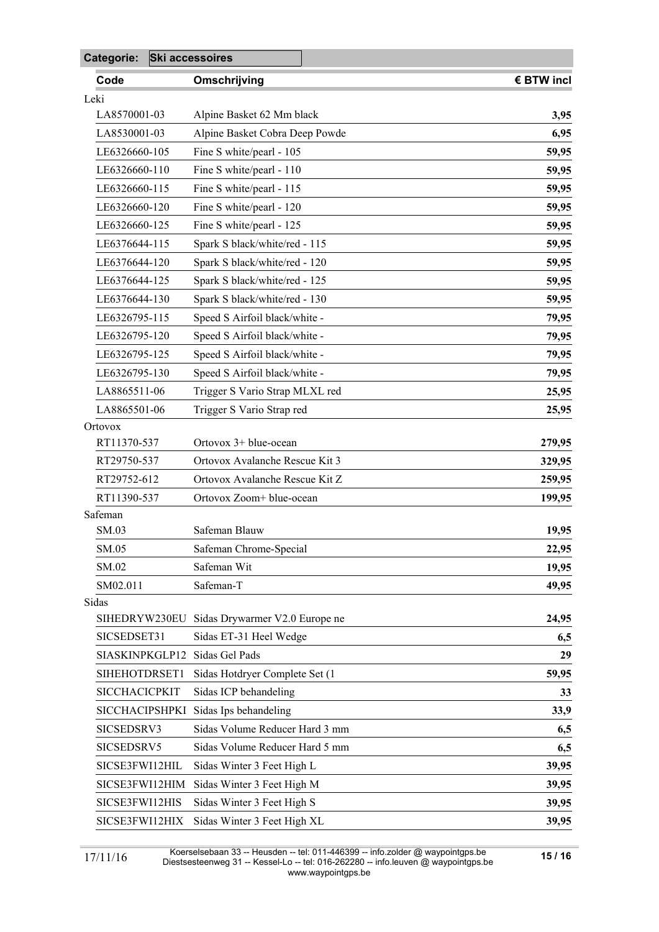| Categorie:<br>Ski accessoires |  |                                |            |
|-------------------------------|--|--------------------------------|------------|
| Code                          |  | Omschrijving                   | € BTW incl |
| Leki                          |  |                                |            |
| LA8570001-03                  |  | Alpine Basket 62 Mm black      | 3,95       |
| LA8530001-03                  |  | Alpine Basket Cobra Deep Powde | 6,95       |
| LE6326660-105                 |  | Fine S white/pearl - 105       | 59,95      |
| LE6326660-110                 |  | Fine S white/pearl - 110       | 59,95      |
| LE6326660-115                 |  | Fine S white/pearl - 115       | 59,95      |
| LE6326660-120                 |  | Fine S white/pearl - 120       | 59,95      |
| LE6326660-125                 |  | Fine S white/pearl - 125       | 59,95      |
| LE6376644-115                 |  | Spark S black/white/red - 115  | 59,95      |
| LE6376644-120                 |  | Spark S black/white/red - 120  | 59,95      |
| LE6376644-125                 |  | Spark S black/white/red - 125  | 59,95      |
| LE6376644-130                 |  | Spark S black/white/red - 130  | 59,95      |
| LE6326795-115                 |  | Speed S Airfoil black/white -  | 79,95      |
| LE6326795-120                 |  | Speed S Airfoil black/white -  | 79,95      |
| LE6326795-125                 |  | Speed S Airfoil black/white -  | 79,95      |
| LE6326795-130                 |  | Speed S Airfoil black/white -  | 79,95      |
| LA8865511-06                  |  | Trigger S Vario Strap MLXL red | 25,95      |
| LA8865501-06                  |  | Trigger S Vario Strap red      | 25,95      |
| Ortovox                       |  |                                |            |
| RT11370-537                   |  | Ortovox 3+ blue-ocean          | 279,95     |
| RT29750-537                   |  | Ortovox Avalanche Rescue Kit 3 | 329,95     |
| RT29752-612                   |  | Ortovox Avalanche Rescue Kit Z | 259,95     |
| RT11390-537                   |  | Ortovox Zoom+ blue-ocean       | 199,95     |
| Safeman                       |  |                                |            |
| SM.03                         |  | Safeman Blauw                  | 19,95      |
| SM.05                         |  | Safeman Chrome-Special         | 22,95      |
| SM.02                         |  | Safeman Wit                    | 19,95      |
| SM02.011                      |  | Safeman-T                      | 49,95      |
| Sidas                         |  |                                |            |
| SIHEDRYW230EU                 |  | Sidas Drywarmer V2.0 Europe ne | 24,95      |
| SICSEDSET31                   |  | Sidas ET-31 Heel Wedge         | 6,5        |
| SIASKINPKGLP12                |  | Sidas Gel Pads                 | 29         |
| SIHEHOTDRSET1                 |  | Sidas Hotdryer Complete Set (1 | 59,95      |
| <b>SICCHACICPKIT</b>          |  | Sidas ICP behandeling          | 33         |
| <b>SICCHACIPSHPKI</b>         |  | Sidas Ips behandeling          | 33,9       |
| SICSEDSRV3                    |  | Sidas Volume Reducer Hard 3 mm | 6,5        |
| SICSEDSRV5                    |  | Sidas Volume Reducer Hard 5 mm | 6,5        |
| SICSE3FWI12HIL                |  | Sidas Winter 3 Feet High L     | 39,95      |
| SICSE3FWI12HIM                |  | Sidas Winter 3 Feet High M     | 39,95      |
| SICSE3FWI12HIS                |  | Sidas Winter 3 Feet High S     | 39,95      |
| SICSE3FWI12HIX                |  | Sidas Winter 3 Feet High XL    | 39,95      |